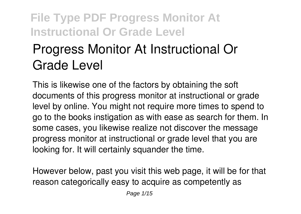# **Progress Monitor At Instructional Or Grade Level**

This is likewise one of the factors by obtaining the soft documents of this **progress monitor at instructional or grade level** by online. You might not require more times to spend to go to the books instigation as with ease as search for them. In some cases, you likewise realize not discover the message progress monitor at instructional or grade level that you are looking for. It will certainly squander the time.

However below, past you visit this web page, it will be for that reason categorically easy to acquire as competently as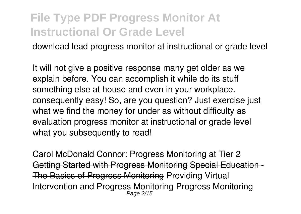download lead progress monitor at instructional or grade level

It will not give a positive response many get older as we explain before. You can accomplish it while do its stuff something else at house and even in your workplace. consequently easy! So, are you question? Just exercise just what we find the money for under as without difficulty as evaluation **progress monitor at instructional or grade level** what you subsequently to read!

**Carol McDonald Connor: Progress Monitoring at** Getting Started with Progress Monitoring Special Educa The Basics of Progress Monitoring Providing Virtual Intervention and Progress Monitoring *Progress Monitoring* Page 2/15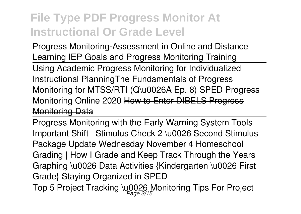*Progress Monitoring-Assessment in Online and Distance Learning IEP Goals and Progress Monitoring Training* Using Academic Progress Monitoring for Individualized Instructional Planning*The Fundamentals of Progress Monitoring for MTSS/RTI (Q\u0026A Ep. 8) SPED Progress Monitoring Online 2020* How to Enter DIBELS Progress Monitoring Data

Progress Monitoring with the Early Warning System Tools *Important Shift | Stimulus Check 2 \u0026 Second Stimulus Package Update Wednesday November 4 Homeschool Grading | How I Grade and Keep Track Through the Years Graphing \u0026 Data Activities {Kindergarten \u0026 First Grade} Staying Organized in SPED*

Top 5 Project Tracking \u0026 Monitoring Tips For Project Page 3/15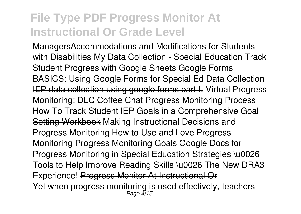Managers**Accommodations and Modifications for Students with Disabilities My Data Collection - Special Education** Track Student Progress with Google Sheets Google Forms BASICS: Using Google Forms for Special Ed Data Collection **IEP data collection using google forms part I.** Virtual Progress Monitoring: DLC Coffee Chat **Progress Monitoring Process** How To Track Student IEP Goals in a Comprehensive Goal Setting Workbook **Making Instructional Decisions and Progress Monitoring How to Use and Love Progress Monitoring** Progress Monitoring Goals Google Docs for Progress Monitoring in Special Education **Strategies \u0026 Tools to Help Improve Reading Skills \u0026 The New DRA3 Experience!** Progress Monitor At Instructional Or Yet when progress monitoring is used effectively, teachers Page 4/15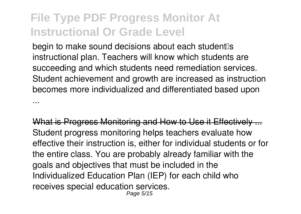...

begin to make sound decisions about each student<sup>®</sup>s instructional plan. Teachers will know which students are succeeding and which students need remediation services. Student achievement and growth are increased as instruction becomes more individualized and differentiated based upon

What is Progress Monitoring and How to Use it Effectively Student progress monitoring helps teachers evaluate how effective their instruction is, either for individual students or for the entire class. You are probably already familiar with the goals and objectives that must be included in the Individualized Education Plan (IEP) for each child who receives special education services. Page 5/15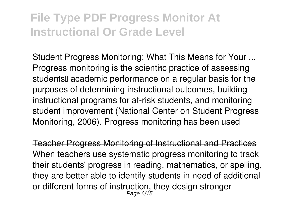Student Progress Monitoring: What This Means for Your ... Progress monitoring is the scientific practice of assessing students<sup>[]</sup> academic performance on a regular basis for the purposes of determining instructional outcomes, building instructional programs for at-risk students, and monitoring student improvement (National Center on Student Progress Monitoring, 2006). Progress monitoring has been used

Teacher Progress Monitoring of Instructional and Practices When teachers use systematic progress monitoring to track their students' progress in reading, mathematics, or spelling, they are better able to identify students in need of additional or different forms of instruction, they design stronger Page 6/15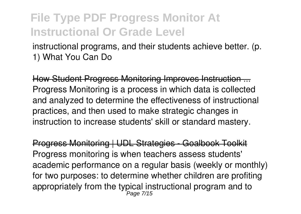instructional programs, and their students achieve better. (p. 1) What You Can Do

How Student Progress Monitoring Improves Instruction ... Progress Monitoring is a process in which data is collected and analyzed to determine the effectiveness of instructional practices, and then used to make strategic changes in instruction to increase students' skill or standard mastery.

Progress Monitoring | UDL Strategies - Goalbook Toolkit Progress monitoring is when teachers assess students' academic performance on a regular basis (weekly or monthly) for two purposes: to determine whether children are profiting appropriately from the typical instructional program and to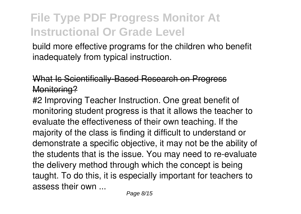build more effective programs for the children who benefit inadequately from typical instruction.

#### What Is Scientifically-Based Research on Progress Monitoring?

#2 Improving Teacher Instruction. One great benefit of monitoring student progress is that it allows the teacher to evaluate the effectiveness of their own teaching. If the majority of the class is finding it difficult to understand or demonstrate a specific objective, it may not be the ability of the students that is the issue. You may need to re-evaluate the delivery method through which the concept is being taught. To do this, it is especially important for teachers to assess their own ...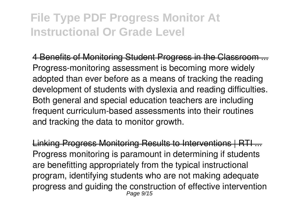4 Benefits of Monitoring Student Progress in the Classroom Progress-monitoring assessment is becoming more widely adopted than ever before as a means of tracking the reading development of students with dyslexia and reading difficulties. Both general and special education teachers are including frequent curriculum-based assessments into their routines and tracking the data to monitor growth.

Linking Progress Monitoring Results to Interventions | RTI ... Progress monitoring is paramount in determining if students are benefitting appropriately from the typical instructional program, identifying students who are not making adequate progress and guiding the construction of effective intervention Page 9/15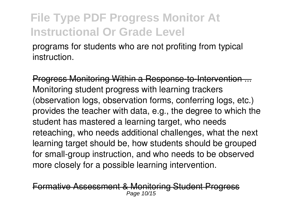programs for students who are not profiting from typical **instruction** 

Progress Monitoring Within a Response-to-Intervention. Monitoring student progress with learning trackers (observation logs, observation forms, conferring logs, etc.) provides the teacher with data, e.g., the degree to which the student has mastered a learning target, who needs reteaching, who needs additional challenges, what the next learning target should be, how students should be grouped for small-group instruction, and who needs to be observed more closely for a possible learning intervention.

Formative Assessment & Monitoring Student Progress Page 10/15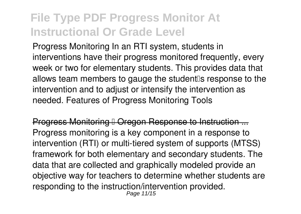Progress Monitoring In an RTI system, students in interventions have their progress monitored frequently, every week or two for elementary students. This provides data that allows team members to gauge the student<sup>®</sup> response to the intervention and to adjust or intensify the intervention as needed. Features of Progress Monitoring Tools

Progress Monitoring <sup>|</sup> Oregon Response to Instruction Progress monitoring is a key component in a response to intervention (RTI) or multi-tiered system of supports (MTSS) framework for both elementary and secondary students. The data that are collected and graphically modeled provide an objective way for teachers to determine whether students are responding to the instruction/intervention provided. Page 11/15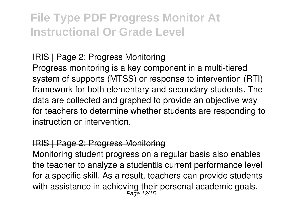#### IRIS | Page 2: Progress Monitoring

Progress monitoring is a key component in a multi-tiered system of supports (MTSS) or response to intervention (RTI) framework for both elementary and secondary students. The data are collected and graphed to provide an objective way for teachers to determine whether students are responding to instruction or intervention.

#### IRIS | Page 2: Progress Monitoring

Monitoring student progress on a regular basis also enables the teacher to analyze a student<sup>®</sup>s current performance level for a specific skill. As a result, teachers can provide students with assistance in achieving their personal academic goals.<br>Page 12/15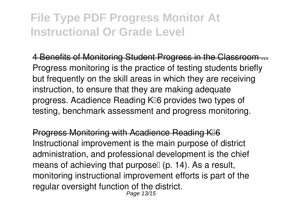4 Benefits of Monitoring Student Progress in the Classroom Progress monitoring is the practice of testing students briefly but frequently on the skill areas in which they are receiving instruction, to ensure that they are making adequate progress. Acadience Reading K⊪6 provides two types of testing, benchmark assessment and progress monitoring.

Progress Monitoring with Acadience Reading K<sup>
</sup> Instructional improvement is the main purpose of district administration, and professional development is the chief means of achieving that purpose  $(p. 14)$ . As a result, monitoring instructional improvement efforts is part of the regular oversight function of the district.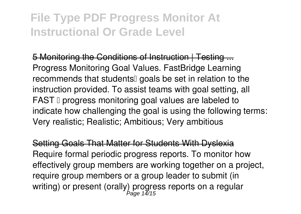5 Monitoring the Conditions of Instruction | Testing ... Progress Monitoring Goal Values. FastBridge Learning recommends that students<sup>[]</sup> goals be set in relation to the instruction provided. To assist teams with goal setting, all FAST II progress monitoring goal values are labeled to indicate how challenging the goal is using the following terms: Very realistic; Realistic; Ambitious; Very ambitious

Setting Goals That Matter for Students With Dyslexia Require formal periodic progress reports. To monitor how effectively group members are working together on a project, require group members or a group leader to submit (in writing) or present (orally) progress reports on a regular Page 14/15